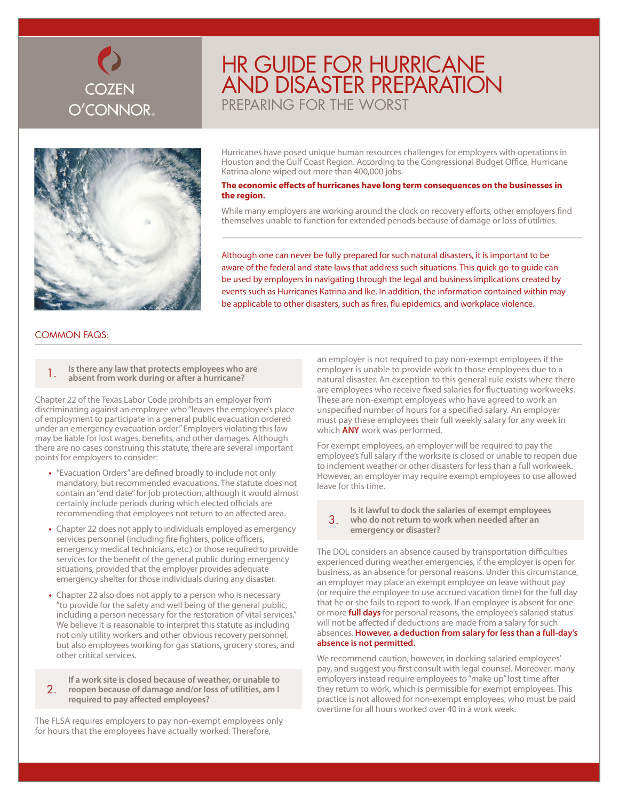

# HR Guide for Hurricane and Disaster Preparation PREPARING FOR THE WORST



Hurricanes have posed unique human resources challenges for employers with operations in Houston and the Gulf Coast Region. According to the Congressional Budget Office, Hurricane Katrina alone wiped out more than 400,000 jobs.

#### **The economic effects of hurricanes have long term consequences on the businesses in the region.**

While many employers are working around the clock on recovery efforts, other employers find themselves unable to function for extended periods because of damage or loss of utilities.

Although one can never be fully prepared for such natural disasters, it is important to be aware of the federal and state laws that address such situations. This quick go-to guide can be used by employers in navigating through the legal and business implications created by events such as Hurricanes Katrina and Ike. In addition, the information contained within may be applicable to other disasters, such as fires, flu epidemics, and workplace violence.

### Common FAQS:

1. **Is there any law that protects employees who are absent from work during or after a hurricane?**

Chapter 22 of the Texas Labor Code prohibits an employer from discriminating against an employee who "leaves the employee's place of employment to participate in a general public evacuation ordered under an emergency evacuation order." Employers violating this law may be liable for lost wages, benefits, and other damages. Although there are no cases construing this statute, there are several important points for employers to consider:

- **•**  "Evacuation Orders" are defined broadly to include not only mandatory, but recommended evacuations. The statute does not contain an "end date" for job protection, although it would almost certainly include periods during which elected officials are recommending that employees not return to an affected area.
- **•**  Chapter 22 does not apply to individuals employed as emergency services personnel (including fire fighters, police officers, emergency medical technicians, etc.) or those required to provide services for the benefit of the general public during emergency situations, provided that the employer provides adequate emergency shelter for those individuals during any disaster.
- Chapter 22 also does not apply to a person who is necessary "to provide for the safety and well being of the general public, including a person necessary for the restoration of vital services." We believe it is reasonable to interpret this statute as including not only utility workers and other obvious recovery personnel, but also employees working for gas stations, grocery stores, and other critical services.

2. **reopen because of damage and/or loss of utilities, am I If a work site is closed because of weather, or unable to required to pay affected employees?**

The FLSA requires employers to pay non-exempt employees only for hours that the employees have actually worked. Therefore,

an employer is not required to pay non-exempt employees if the employer is unable to provide work to those employees due to a natural disaster. An exception to this general rule exists where there are employees who receive fixed salaries for fluctuating workweeks. These are non-exempt employees who have agreed to work an unspecified number of hours for a specified salary. An employer must pay these employees their full weekly salary for any week in which **ANY** work was performed.

For exempt employees, an employer will be required to pay the employee's full salary if the worksite is closed or unable to reopen due to inclement weather or other disasters for less than a full workweek. However, an employer may require exempt employees to use allowed leave for this time.

3. **Is it lawful to dock the salaries of exempt employees who do not return to work when needed after an emergency or disaster?**

The DOL considers an absence caused by transportation difficulties experienced during weather emergencies, if the employer is open for business, as an absence for personal reasons. Under this circumstance, an employer may place an exempt employee on leave without pay (or require the employee to use accrued vacation time) for the full day that he or she fails to report to work. If an employee is absent for one or more **full days** for personal reasons, the employee's salaried status will not be affected if deductions are made from a salary for such absences. **However, a deduction from salary for less than a full-day's absence is not permitted.**

We recommend caution, however, in docking salaried employees' pay, and suggest you first consult with legal counsel. Moreover, many employers instead require employees to "make up" lost time after they return to work, which is permissible for exempt employees. This practice is not allowed for non-exempt employees, who must be paid overtime for all hours worked over 40 in a work week.